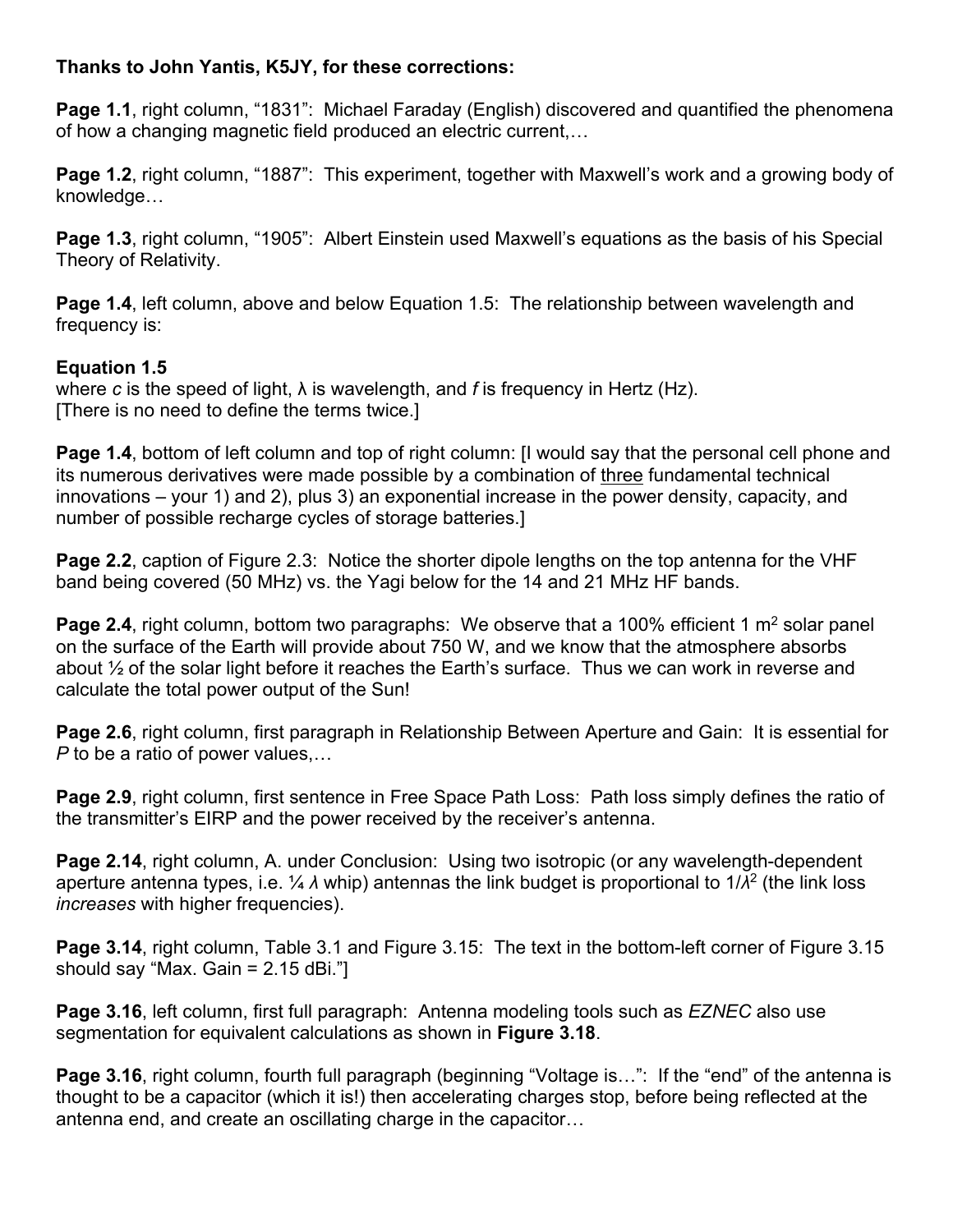## **Thanks to John Yantis, K5JY, for these corrections:**

**Page 1.1**, right column, "1831": Michael Faraday (English) discovered and quantified the phenomena of how a changing magnetic field produced an electric current,…

**Page 1.2**, right column, "1887": This experiment, together with Maxwell's work and a growing body of knowledge…

**Page 1.3**, right column, "1905": Albert Einstein used Maxwell's equations as the basis of his Special Theory of Relativity.

**Page 1.4.** left column, above and below Equation 1.5: The relationship between wavelength and frequency is:

## **Equation 1.5**

where *c* is the speed of light, λ is wavelength, and *f* is frequency in Hertz (Hz). [There is no need to define the terms twice.]

**Page 1.4**, bottom of left column and top of right column: [I would say that the personal cell phone and its numerous derivatives were made possible by a combination of three fundamental technical innovations – your 1) and 2), plus 3) an exponential increase in the power density, capacity, and number of possible recharge cycles of storage batteries.]

**Page 2.2**, caption of Figure 2.3: Notice the shorter dipole lengths on the top antenna for the VHF band being covered (50 MHz) vs. the Yagi below for the 14 and 21 MHz HF bands.

**Page 2.4**, right column, bottom two paragraphs: We observe that a 100% efficient 1 m<sup>2</sup> solar panel on the surface of the Earth will provide about 750 W, and we know that the atmosphere absorbs about ½ of the solar light before it reaches the Earth's surface. Thus we can work in reverse and calculate the total power output of the Sun!

**Page 2.6**, right column, first paragraph in Relationship Between Aperture and Gain: It is essential for *P* to be a ratio of power values,…

**Page 2.9**, right column, first sentence in Free Space Path Loss: Path loss simply defines the ratio of the transmitter's EIRP and the power received by the receiver's antenna.

**Page 2.14, right column, A. under Conclusion: Using two isotropic (or any wavelength-dependent** aperture antenna types, i.e. ¼ *λ* whip) antennas the link budget is proportional to 1/*λ*2 (the link loss *increases* with higher frequencies).

**Page 3.14**, right column, Table 3.1 and Figure 3.15: The text in the bottom-left corner of Figure 3.15 should say "Max. Gain = 2.15 dBi."]

**Page 3.16**, left column, first full paragraph: Antenna modeling tools such as *EZNEC* also use segmentation for equivalent calculations as shown in **Figure 3.18**.

**Page 3.16**, right column, fourth full paragraph (beginning "Voltage is...": If the "end" of the antenna is thought to be a capacitor (which it is!) then accelerating charges stop, before being reflected at the antenna end, and create an oscillating charge in the capacitor…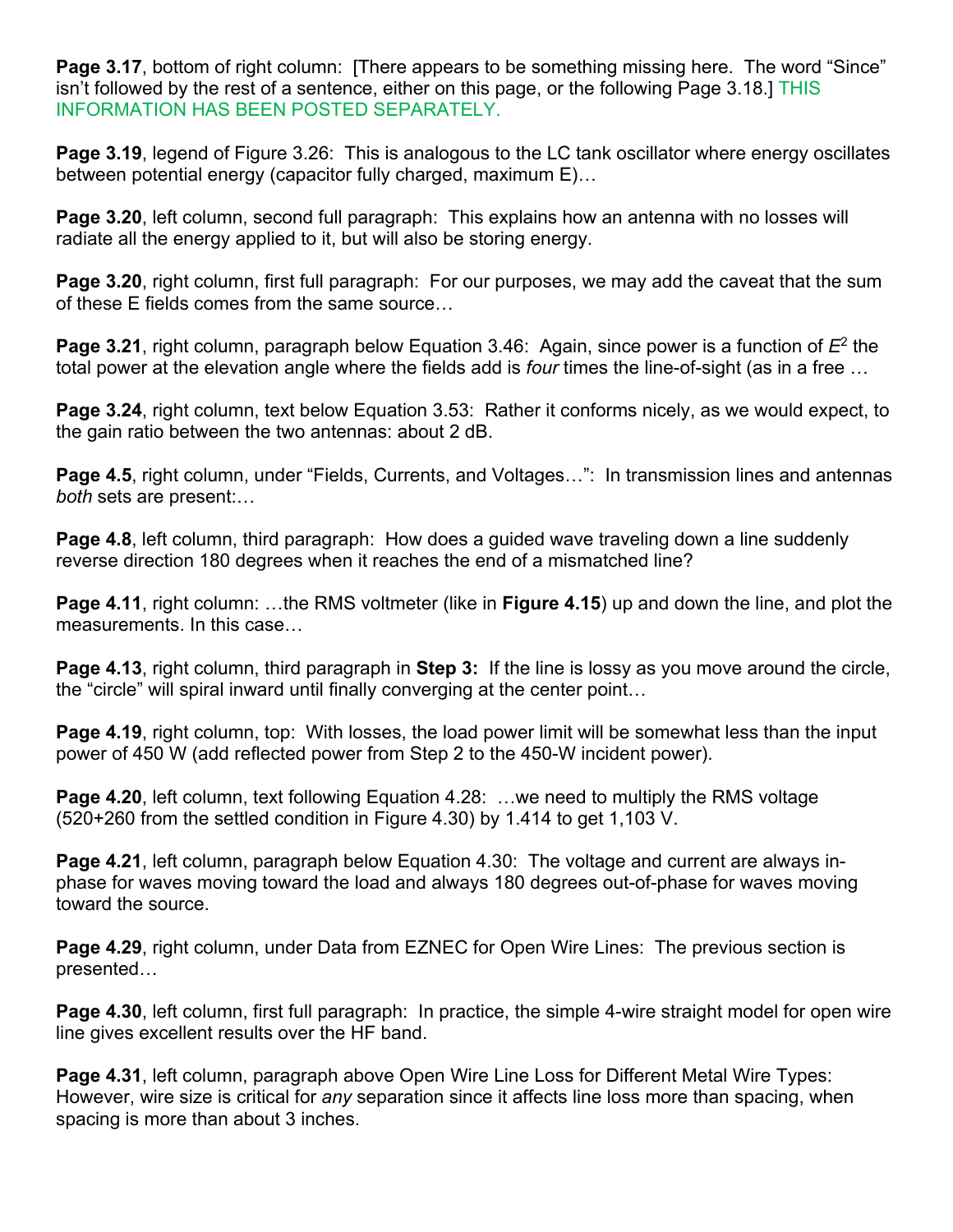**Page 3.17**, bottom of right column: [There appears to be something missing here. The word "Since" isn't followed by the rest of a sentence, either on this page, or the following Page 3.18.] THIS INFORMATION HAS BEEN POSTED SEPARATELY.

**Page 3.19**, legend of Figure 3.26: This is analogous to the LC tank oscillator where energy oscillates between potential energy (capacitor fully charged, maximum E)…

**Page 3.20**, left column, second full paragraph: This explains how an antenna with no losses will radiate all the energy applied to it, but will also be storing energy.

**Page 3.20**, right column, first full paragraph: For our purposes, we may add the caveat that the sum of these E fields comes from the same source…

**Page 3.21**, right column, paragraph below Equation 3.46: Again, since power is a function of *E*2 the total power at the elevation angle where the fields add is *four* times the line-of-sight (as in a free …

**Page 3.24**, right column, text below Equation 3.53: Rather it conforms nicely, as we would expect, to the gain ratio between the two antennas: about 2 dB.

**Page 4.5**, right column, under "Fields, Currents, and Voltages...": In transmission lines and antennas *both* sets are present:…

**Page 4.8**, left column, third paragraph: How does a guided wave traveling down a line suddenly reverse direction 180 degrees when it reaches the end of a mismatched line?

**Page 4.11**, right column: …the RMS voltmeter (like in **Figure 4.15**) up and down the line, and plot the measurements. In this case…

**Page 4.13**, right column, third paragraph in **Step 3:** If the line is lossy as you move around the circle, the "circle" will spiral inward until finally converging at the center point…

**Page 4.19**, right column, top: With losses, the load power limit will be somewhat less than the input power of 450 W (add reflected power from Step 2 to the 450-W incident power).

**Page 4.20**, left column, text following Equation 4.28: …we need to multiply the RMS voltage (520+260 from the settled condition in Figure 4.30) by 1.414 to get 1,103 V.

**Page 4.21**, left column, paragraph below Equation 4.30: The voltage and current are always inphase for waves moving toward the load and always 180 degrees out-of-phase for waves moving toward the source.

**Page 4.29**, right column, under Data from EZNEC for Open Wire Lines: The previous section is presented…

**Page 4.30**, left column, first full paragraph: In practice, the simple 4-wire straight model for open wire line gives excellent results over the HF band.

**Page 4.31**, left column, paragraph above Open Wire Line Loss for Different Metal Wire Types: However, wire size is critical for *any* separation since it affects line loss more than spacing, when spacing is more than about 3 inches.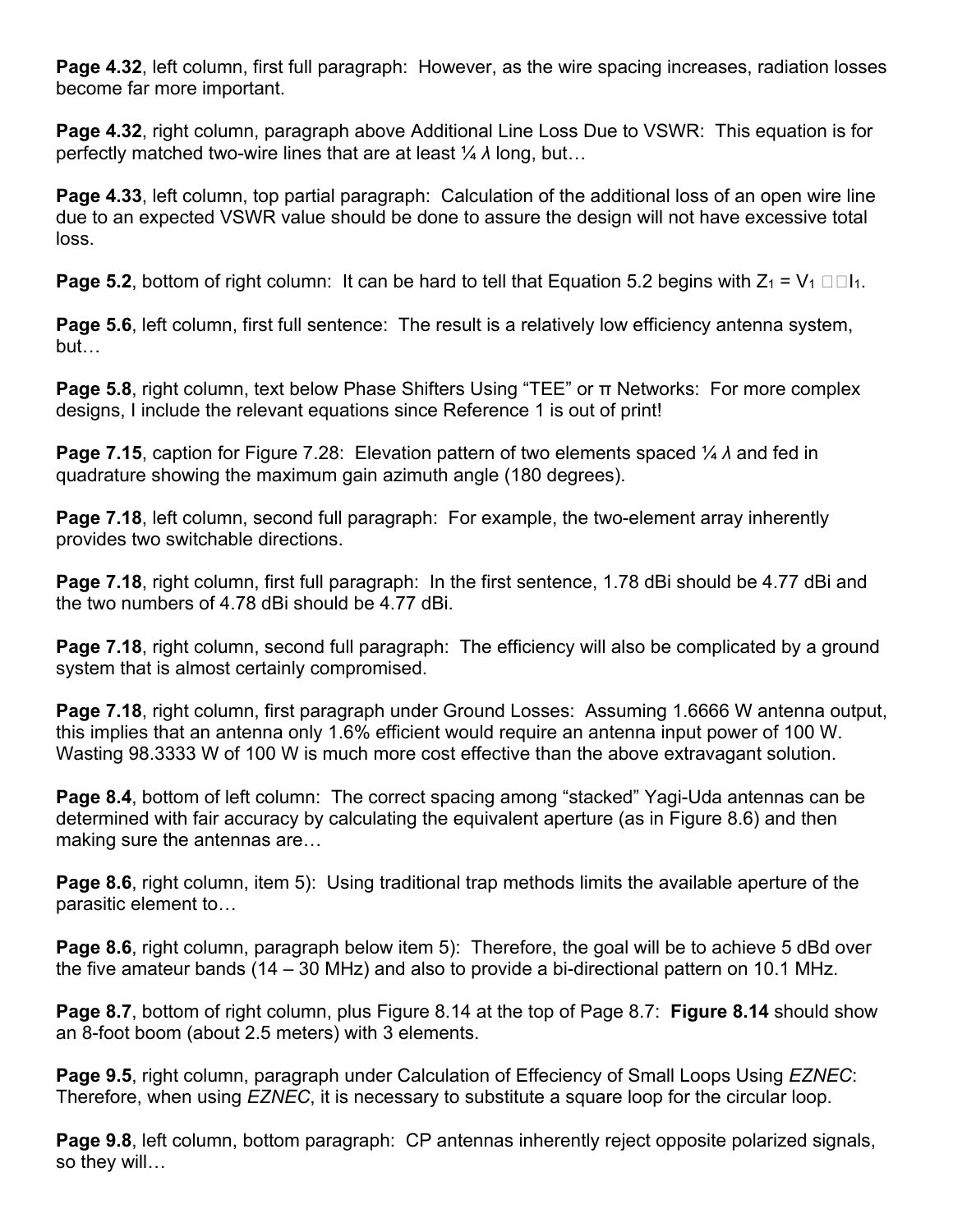**Page 4.32, left column, first full paragraph: However, as the wire spacing increases, radiation losses** become far more important.

**Page 4.32**, right column, paragraph above Additional Line Loss Due to VSWR: This equation is for perfectly matched two-wire lines that are at least ¼ *λ* long, but…

**Page 4.33**, left column, top partial paragraph: Calculation of the additional loss of an open wire line due to an expected VSWR value should be done to assure the design will not have excessive total loss.

**Page 5.2**, bottom of right column: It can be hard to tell that Equation 5.2 begins with  $Z_1 = V_1 \Box \Box I_1$ .

**Page 5.6**, left column, first full sentence: The result is a relatively low efficiency antenna system, but…

**Page 5.8**, right column, text below Phase Shifters Using "TEE" or π Networks: For more complex designs, I include the relevant equations since Reference 1 is out of print!

**Page 7.15**, caption for Figure 7.28: Elevation pattern of two elements spaced ¼ *λ* and fed in quadrature showing the maximum gain azimuth angle (180 degrees).

**Page 7.18**, left column, second full paragraph: For example, the two-element array inherently provides two switchable directions.

**Page 7.18**, right column, first full paragraph: In the first sentence, 1.78 dBi should be 4.77 dBi and the two numbers of 4.78 dBi should be 4.77 dBi.

**Page 7.18**, right column, second full paragraph: The efficiency will also be complicated by a ground system that is almost certainly compromised.

**Page 7.18**, right column, first paragraph under Ground Losses: Assuming 1.6666 W antenna output, this implies that an antenna only 1.6% efficient would require an antenna input power of 100 W. Wasting 98.3333 W of 100 W is much more cost effective than the above extravagant solution.

**Page 8.4**, bottom of left column: The correct spacing among "stacked" Yagi-Uda antennas can be determined with fair accuracy by calculating the equivalent aperture (as in Figure 8.6) and then making sure the antennas are…

**Page 8.6**, right column, item 5): Using traditional trap methods limits the available aperture of the parasitic element to…

**Page 8.6**, right column, paragraph below item 5): Therefore, the goal will be to achieve 5 dBd over the five amateur bands (14 – 30 MHz) and also to provide a bi-directional pattern on 10.1 MHz.

**Page 8.7**, bottom of right column, plus Figure 8.14 at the top of Page 8.7: **Figure 8.14** should show an 8-foot boom (about 2.5 meters) with 3 elements.

**Page 9.5**, right column, paragraph under Calculation of Effeciency of Small Loops Using *EZNEC*: Therefore, when using *EZNEC*, it is necessary to substitute a square loop for the circular loop.

**Page 9.8**, left column, bottom paragraph: CP antennas inherently reject opposite polarized signals, so they will…